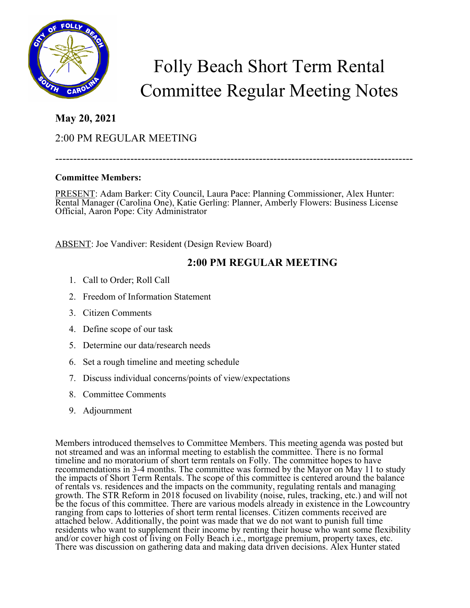

# Folly Beach Short Term Rental Committee Regular Meeting Notes

### **May 20, 2021**

## 2:00 PM REGULAR MEETING

----------------------------------------------------------------------------------------------------

#### **Committee Members:**

PRESENT: Adam Barker: City Council, Laura Pace: Planning Commissioner, Alex Hunter: Rental Manager (Carolina One), Katie Gerling: Planner, Amberly Flowers: Business License Official, Aaron Pope: City Administrator

ABSENT: Joe Vandiver: Resident (Design Review Board)

#### **2:00 PM REGULAR MEETING**

- 1. Call to Order; Roll Call
- 2. Freedom of Information Statement
- 3. Citizen Comments
- 4. Define scope of our task
- 5. Determine our data/research needs
- 6. Set a rough timeline and meeting schedule
- 7. Discuss individual concerns/points of view/expectations
- 8. Committee Comments
- 9. Adjournment

Members introduced themselves to Committee Members. This meeting agenda was posted but not streamed and was an informal meeting to establish the committee. There is no formal timeline and no moratorium of short term rentals on Folly. The committee hopes to have recommendations in 3-4 months. The committee was formed by the Mayor on May 11 to study the impacts of Short Term Rentals. The scope of this committee is centered around the balance of rentals vs. residences and the impacts on the community, regulating rentals and managing growth. The STR Reform in 2018 focused on livability (noise, rules, tracking, etc.) and will not be the focus of this committee. There are various models already in existence in the Lowcountry ranging from caps to lotteries of short term rental licenses. Citizen comments received are attached below. Additionally, the point was made that we do not want to punish full time residents who want to supplement their income by renting their house who want some flexibility and/or cover high cost of living on Folly Beach i.e., mortgage premium, property taxes, etc. There was discussion on gathering data and making data driven decisions. Alex Hunter stated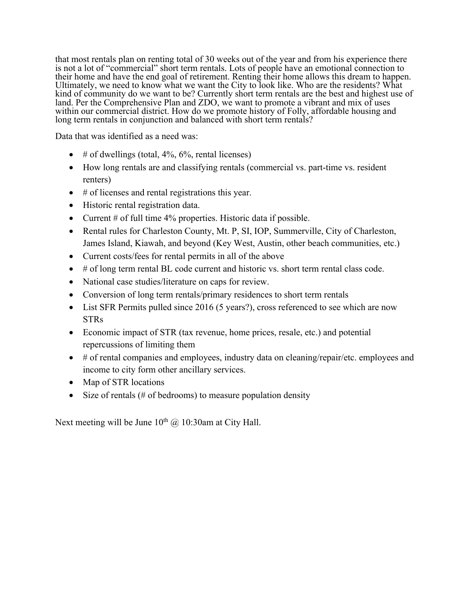that most rentals plan on renting total of 30 weeks out of the year and from his experience there is not a lot of "commercial" short term rentals. Lots of people have an emotional connection to their home and have the end goal of retirement. Renting their home allows this dream to happen. Ultimately, we need to know what we want the City to look like. Who are the residents? What kind of community do we want to be? Currently short term rentals are the best and highest use of land. Per the Comprehensive Plan and ZDO, we want to promote a vibrant and mix of uses within our commercial district. How do we promote history of Folly, affordable housing and long term rentals in conjunction and balanced with short term rentals?

Data that was identified as a need was:

- $\#$  of dwellings (total, 4%, 6%, rental licenses)
- How long rentals are and classifying rentals (commercial vs. part-time vs. resident renters)
- # of licenses and rental registrations this year.
- Historic rental registration data.
- Current # of full time 4% properties. Historic data if possible.
- Rental rules for Charleston County, Mt. P, SI, IOP, Summerville, City of Charleston, James Island, Kiawah, and beyond (Key West, Austin, other beach communities, etc.)
- Current costs/fees for rental permits in all of the above
- # of long term rental BL code current and historic vs. short term rental class code.
- National case studies/literature on caps for review.
- Conversion of long term rentals/primary residences to short term rentals
- List SFR Permits pulled since 2016 (5 years?), cross referenced to see which are now **STRs**
- Economic impact of STR (tax revenue, home prices, resale, etc.) and potential repercussions of limiting them
- # of rental companies and employees, industry data on cleaning/repair/etc. employees and income to city form other ancillary services.
- Map of STR locations
- Size of rentals (# of bedrooms) to measure population density

Next meeting will be June  $10^{th}$  @ 10:30am at City Hall.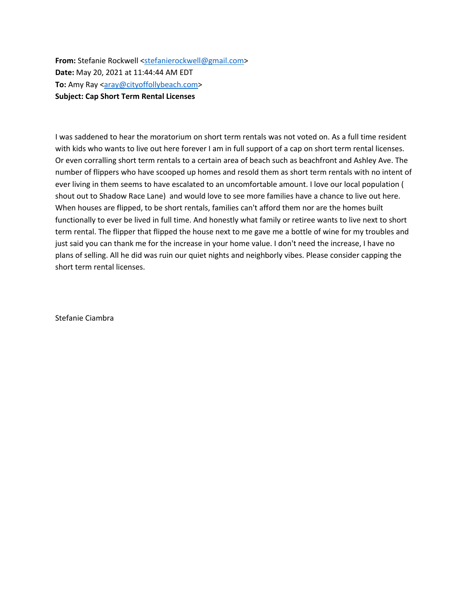**From:** Stefanie Rockwell <stefanierockwell@gmail.com> **Date:** May 20, 2021 at 11:44:44 AM EDT **To:** Amy Ray <aray@cityoffollybeach.com> **Subject: Cap Short Term Rental Licenses**

I was saddened to hear the moratorium on short term rentals was not voted on. As a full time resident with kids who wants to live out here forever I am in full support of a cap on short term rental licenses. Or even corralling short term rentals to a certain area of beach such as beachfront and Ashley Ave. The number of flippers who have scooped up homes and resold them as short term rentals with no intent of ever living in them seems to have escalated to an uncomfortable amount. I love our local population ( shout out to Shadow Race Lane) and would love to see more families have a chance to live out here. When houses are flipped, to be short rentals, families can't afford them nor are the homes built functionally to ever be lived in full time. And honestly what family or retiree wants to live next to short term rental. The flipper that flipped the house next to me gave me a bottle of wine for my troubles and just said you can thank me for the increase in your home value. I don't need the increase, I have no plans of selling. All he did was ruin our quiet nights and neighborly vibes. Please consider capping the short term rental licenses.

Stefanie Ciambra